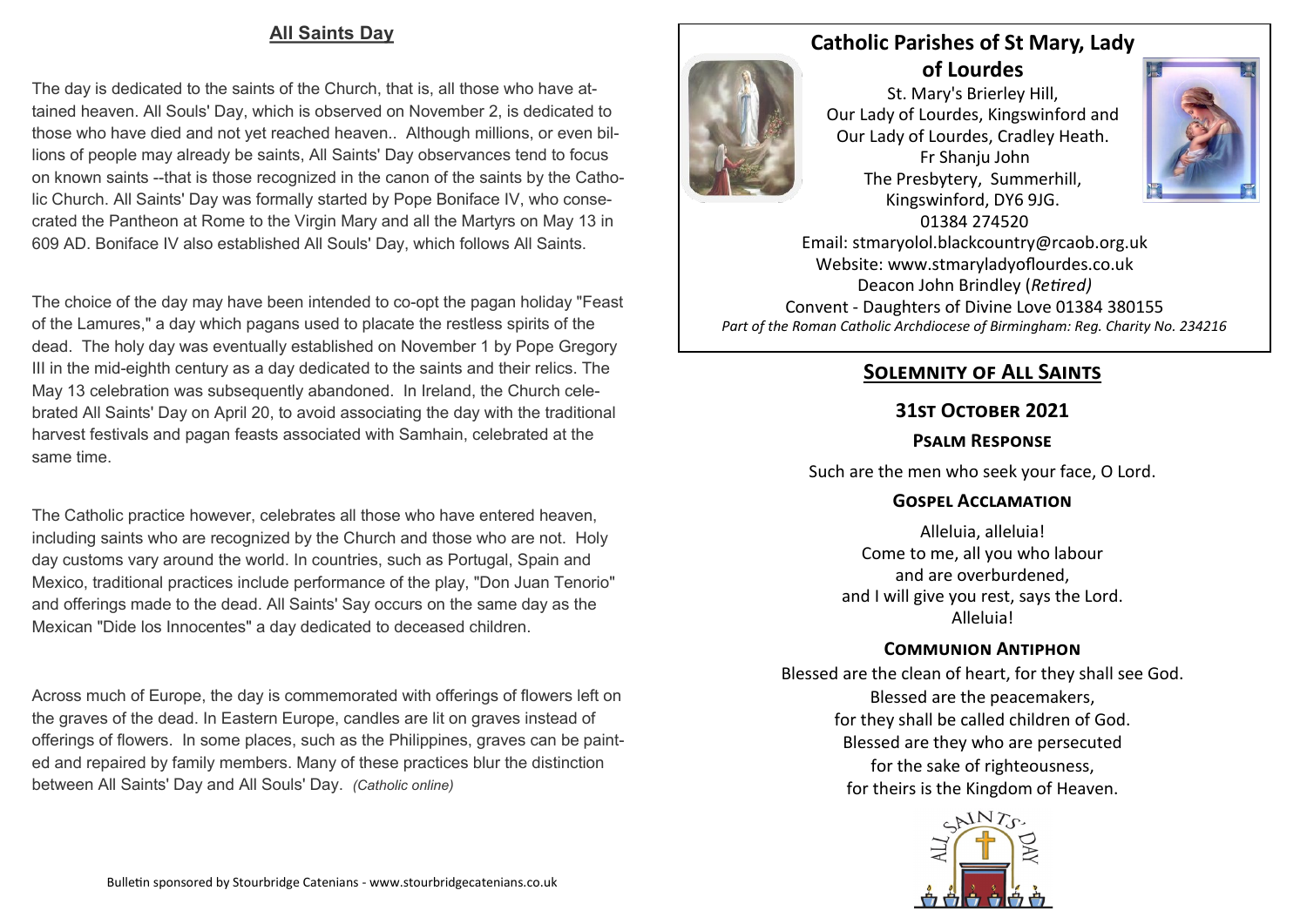### **All Saints Day**

The day is dedicated to the saints of the Church, that is, all those who have attained heaven. All Souls' Day, which is observed on November 2, is dedicated to those who have died and not yet reached heaven.. Although millions, or even billions of people may already be saints, All Saints' Day observances tend to focus on known saints --that is those recognized in the canon of the saints by the Catholic Church. All Saints' Day was formally started by Pope Boniface IV, who consecrated the Pantheon at Rome to the Virgin Mary and all the Martyrs on May 13 in 609 AD. Boniface IV also established All Souls' Day, which follows All Saints.

The choice of the day may have been intended to co-opt the pagan holiday "Feast of the Lamures," a day which pagans used to placate the restless spirits of the dead. The holy day was eventually established on November 1 by Pope Gregory III in the mid-eighth century as a day dedicated to the saints and their relics. The May 13 celebration was subsequently abandoned. In Ireland, the Church celebrated All Saints' Day on April 20, to avoid associating the day with the traditional harvest festivals and pagan feasts associated with Samhain, celebrated at the same time.

The Catholic practice however, celebrates all those who have entered heaven, including saints who are recognized by the Church and those who are not. Holy day customs vary around the world. In countries, such as Portugal, Spain and Mexico, traditional practices include performance of the play, "Don Juan Tenorio" and offerings made to the dead. All Saints' Say occurs on the same day as the Mexican "Dide los Innocentes" a day dedicated to deceased children.

Across much of Europe, the day is commemorated with offerings of flowers left on the graves of the dead. In Eastern Europe, candles are lit on graves instead of offerings of flowers. In some places, such as the Philippines, graves can be painted and repaired by family members. Many of these practices blur the distinction between All Saints' Day and All Souls' Day. *(Catholic online)*

# **Catholic Parishes of St Mary, Lady**

**of Lourdes**  St. Mary's Brierley Hill, Our Lady of Lourdes, Kingswinford and Our Lady of Lourdes, Cradley Heath. Fr Shanju John The Presbytery, Summerhill, Kingswinford, DY6 9JG. 01384 274520



Email: stmaryolol.blackcountry@rcaob.org.uk Website: www.stmaryladyoflourdes.co.uk Deacon John Brindley (*Retired)* Convent - Daughters of Divine Love 01384 380155 *Part of the Roman Catholic Archdiocese of Birmingham: Reg. Charity No. 234216*

## **Solemnity of All Saints**

### **31st October 2021**

### **Psalm Response**

Such are the men who seek your face, O Lord.

#### **Gospel Acclamation**

Alleluia, alleluia! Come to me, all you who labour and are overburdened, and I will give you rest, says the Lord. Alleluia!

### **Communion Antiphon**

Blessed are the clean of heart, for they shall see God. Blessed are the peacemakers, for they shall be called children of God. Blessed are they who are persecuted for the sake of righteousness, for theirs is the Kingdom of Heaven.